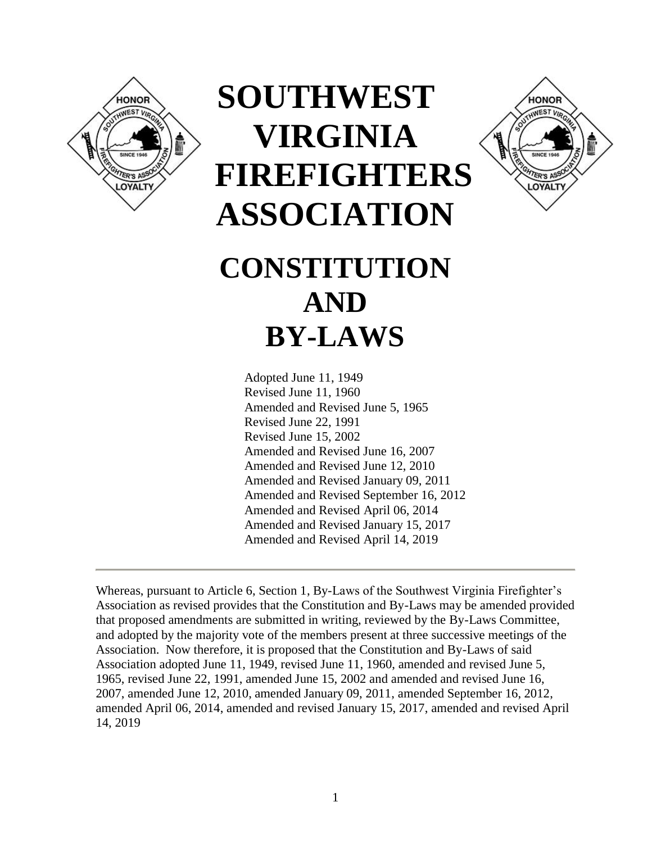

# **SOUTHWEST VIRGINIA FIREFIGHTERS ASSOCIATION**



## **CONSTITUTION AND BY-LAWS**

Adopted June 11, 1949 Revised June 11, 1960 Amended and Revised June 5, 1965 Revised June 22, 1991 Revised June 15, 2002 Amended and Revised June 16, 2007 Amended and Revised June 12, 2010 Amended and Revised January 09, 2011 Amended and Revised September 16, 2012 Amended and Revised April 06, 2014 Amended and Revised January 15, 2017 Amended and Revised April 14, 2019

Whereas, pursuant to Article 6, Section 1, By-Laws of the Southwest Virginia Firefighter's Association as revised provides that the Constitution and By-Laws may be amended provided that proposed amendments are submitted in writing, reviewed by the By-Laws Committee, and adopted by the majority vote of the members present at three successive meetings of the Association. Now therefore, it is proposed that the Constitution and By-Laws of said Association adopted June 11, 1949, revised June 11, 1960, amended and revised June 5, 1965, revised June 22, 1991, amended June 15, 2002 and amended and revised June 16, 2007, amended June 12, 2010, amended January 09, 2011, amended September 16, 2012, amended April 06, 2014, amended and revised January 15, 2017, amended and revised April 14, 2019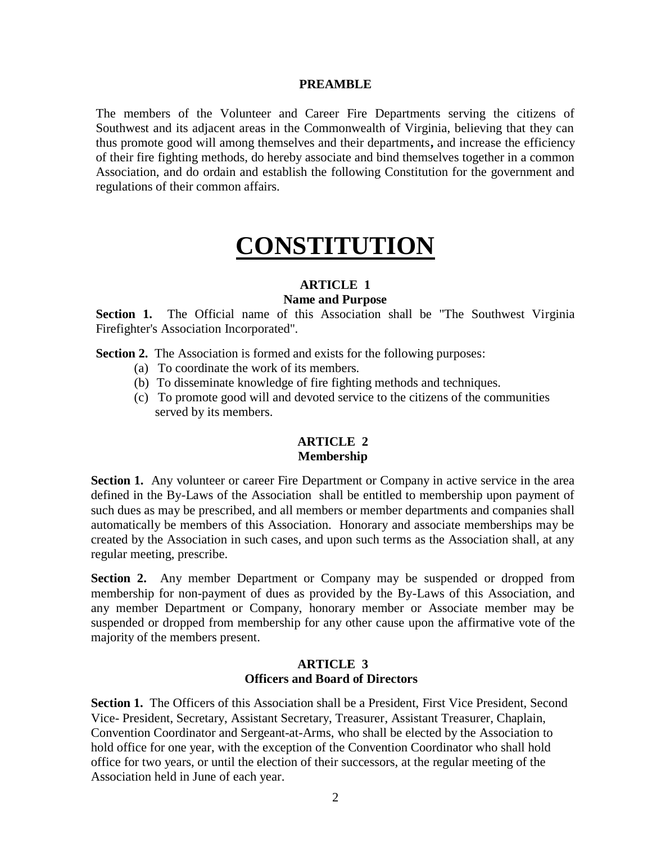#### **PREAMBLE**

The members of the Volunteer and Career Fire Departments serving the citizens of Southwest and its adjacent areas in the Commonwealth of Virginia, believing that they can thus promote good will among themselves and their departments**,** and increase the efficiency of their fire fighting methods, do hereby associate and bind themselves together in a common Association, and do ordain and establish the following Constitution for the government and regulations of their common affairs.

## **CONSTITUTION**

#### **ARTICLE 1**

#### **Name and Purpose**

**Section 1.** The Official name of this Association shall be "The Southwest Virginia Firefighter's Association Incorporated".

**Section 2.** The Association is formed and exists for the following purposes:

- (a) To coordinate the work of its members.
- (b) To disseminate knowledge of fire fighting methods and techniques.
- (c) To promote good will and devoted service to the citizens of the communities served by its members.

#### **ARTICLE 2 Membership**

**Section 1.** Any volunteer or career Fire Department or Company in active service in the area defined in the By-Laws of the Association shall be entitled to membership upon payment of such dues as may be prescribed, and all members or member departments and companies shall automatically be members of this Association. Honorary and associate memberships may be created by the Association in such cases, and upon such terms as the Association shall, at any regular meeting, prescribe.

**Section 2.** Any member Department or Company may be suspended or dropped from membership for non-payment of dues as provided by the By-Laws of this Association, and any member Department or Company, honorary member or Associate member may be suspended or dropped from membership for any other cause upon the affirmative vote of the majority of the members present.

#### **ARTICLE 3 Officers and Board of Directors**

**Section 1.** The Officers of this Association shall be a President, First Vice President, Second Vice- President, Secretary, Assistant Secretary, Treasurer, Assistant Treasurer, Chaplain, Convention Coordinator and Sergeant-at-Arms, who shall be elected by the Association to hold office for one year, with the exception of the Convention Coordinator who shall hold office for two years, or until the election of their successors, at the regular meeting of the Association held in June of each year.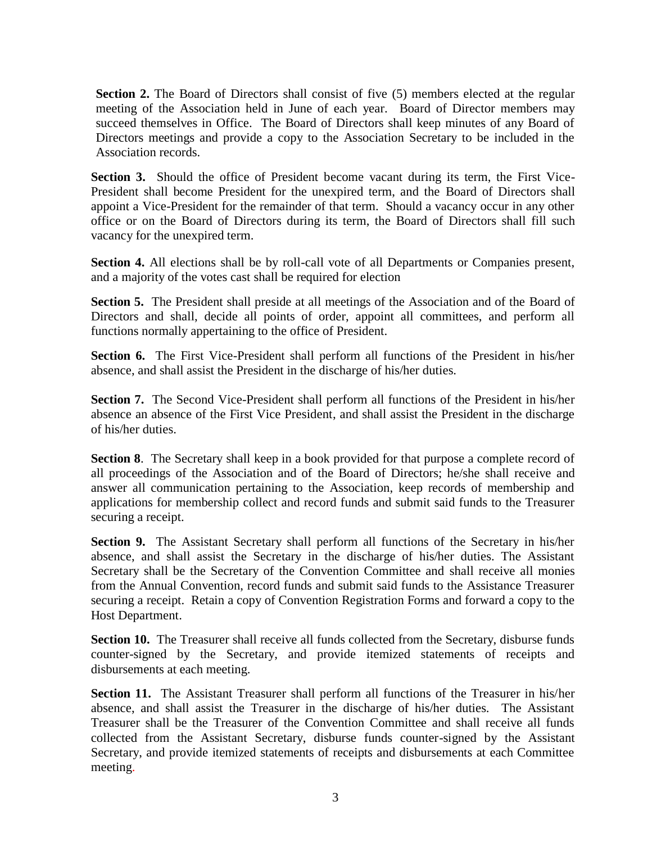**Section 2.** The Board of Directors shall consist of five (5) members elected at the regular meeting of the Association held in June of each year. Board of Director members may succeed themselves in Office. The Board of Directors shall keep minutes of any Board of Directors meetings and provide a copy to the Association Secretary to be included in the Association records.

**Section 3.** Should the office of President become vacant during its term, the First Vice-President shall become President for the unexpired term, and the Board of Directors shall appoint a Vice-President for the remainder of that term. Should a vacancy occur in any other office or on the Board of Directors during its term, the Board of Directors shall fill such vacancy for the unexpired term.

**Section 4.** All elections shall be by roll-call vote of all Departments or Companies present, and a majority of the votes cast shall be required for election

**Section 5.** The President shall preside at all meetings of the Association and of the Board of Directors and shall, decide all points of order, appoint all committees, and perform all functions normally appertaining to the office of President.

**Section 6.** The First Vice-President shall perform all functions of the President in his/her absence, and shall assist the President in the discharge of his/her duties.

**Section 7.** The Second Vice-President shall perform all functions of the President in his/her absence an absence of the First Vice President, and shall assist the President in the discharge of his/her duties.

**Section 8.** The Secretary shall keep in a book provided for that purpose a complete record of all proceedings of the Association and of the Board of Directors; he/she shall receive and answer all communication pertaining to the Association, keep records of membership and applications for membership collect and record funds and submit said funds to the Treasurer securing a receipt.

**Section 9.** The Assistant Secretary shall perform all functions of the Secretary in his/her absence, and shall assist the Secretary in the discharge of his/her duties. The Assistant Secretary shall be the Secretary of the Convention Committee and shall receive all monies from the Annual Convention, record funds and submit said funds to the Assistance Treasurer securing a receipt. Retain a copy of Convention Registration Forms and forward a copy to the Host Department.

**Section 10.** The Treasurer shall receive all funds collected from the Secretary, disburse funds counter-signed by the Secretary, and provide itemized statements of receipts and disbursements at each meeting.

**Section 11.** The Assistant Treasurer shall perform all functions of the Treasurer in his/her absence, and shall assist the Treasurer in the discharge of his/her duties. The Assistant Treasurer shall be the Treasurer of the Convention Committee and shall receive all funds collected from the Assistant Secretary, disburse funds counter-signed by the Assistant Secretary, and provide itemized statements of receipts and disbursements at each Committee meeting.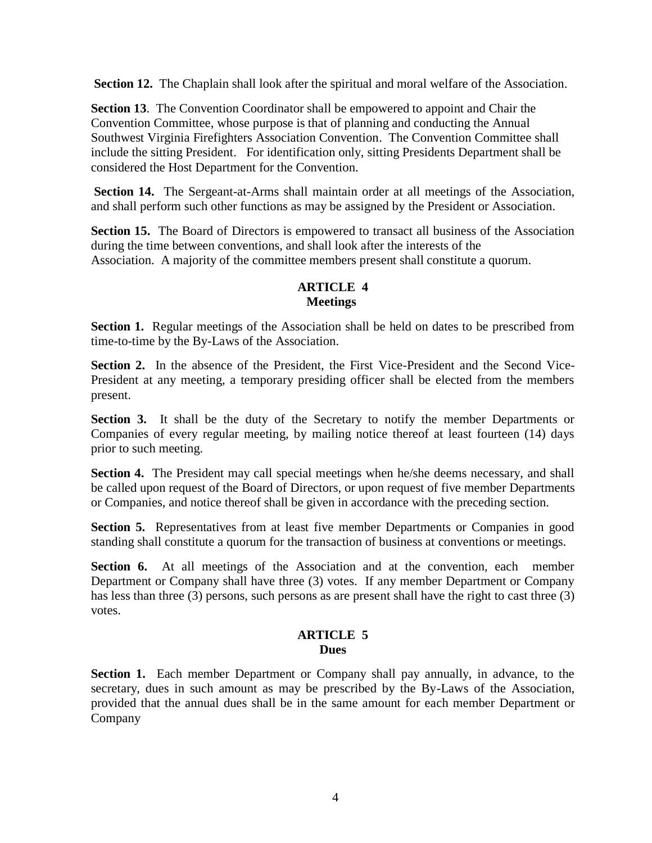**Section 12.** The Chaplain shall look after the spiritual and moral welfare of the Association.

**Section 13**. The Convention Coordinator shall be empowered to appoint and Chair the Convention Committee, whose purpose is that of planning and conducting the Annual Southwest Virginia Firefighters Association Convention. The Convention Committee shall include the sitting President. For identification only, sitting Presidents Department shall be considered the Host Department for the Convention.

**Section 14.** The Sergeant-at-Arms shall maintain order at all meetings of the Association, and shall perform such other functions as may be assigned by the President or Association.

Section 15. The Board of Directors is empowered to transact all business of the Association during the time between conventions, and shall look after the interests of the Association. A majority of the committee members present shall constitute a quorum.

#### **ARTICLE 4 Meetings**

**Section 1.** Regular meetings of the Association shall be held on dates to be prescribed from time-to-time by the By-Laws of the Association.

**Section 2.** In the absence of the President, the First Vice-President and the Second Vice-President at any meeting, a temporary presiding officer shall be elected from the members present.

**Section 3.** It shall be the duty of the Secretary to notify the member Departments or Companies of every regular meeting, by mailing notice thereof at least fourteen (14) days prior to such meeting.

**Section 4.** The President may call special meetings when he/she deems necessary, and shall be called upon request of the Board of Directors, or upon request of five member Departments or Companies, and notice thereof shall be given in accordance with the preceding section.

**Section 5.** Representatives from at least five member Departments or Companies in good standing shall constitute a quorum for the transaction of business at conventions or meetings.

**Section 6.** At all meetings of the Association and at the convention, each member Department or Company shall have three (3) votes. If any member Department or Company has less than three (3) persons, such persons as are present shall have the right to cast three (3) votes.

#### **ARTICLE 5 Dues**

**Section 1.** Each member Department or Company shall pay annually, in advance, to the secretary, dues in such amount as may be prescribed by the By-Laws of the Association, provided that the annual dues shall be in the same amount for each member Department or Company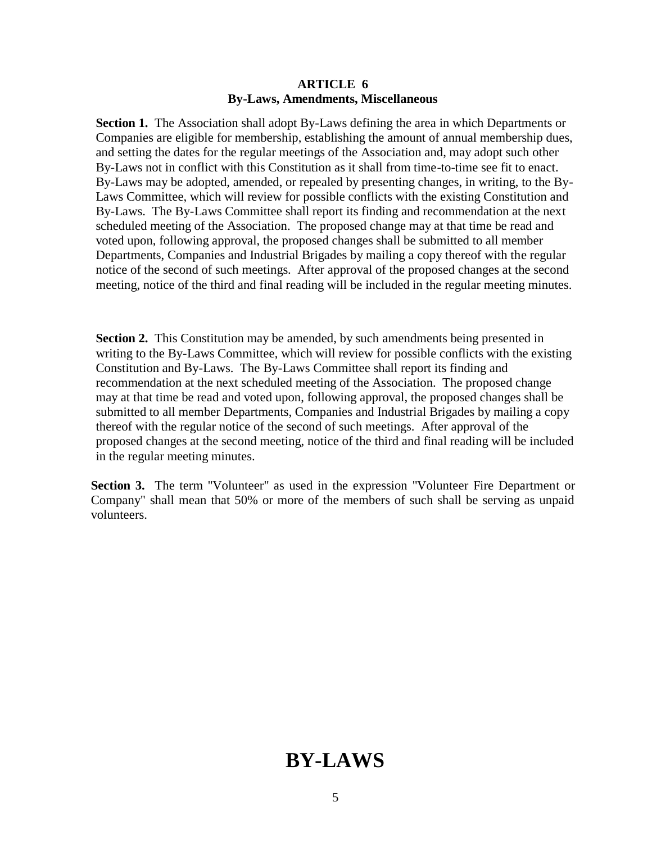#### **ARTICLE 6 By-Laws, Amendments, Miscellaneous**

**Section 1.** The Association shall adopt By-Laws defining the area in which Departments or Companies are eligible for membership, establishing the amount of annual membership dues, and setting the dates for the regular meetings of the Association and, may adopt such other By-Laws not in conflict with this Constitution as it shall from time-to-time see fit to enact. By-Laws may be adopted, amended, or repealed by presenting changes, in writing, to the By-Laws Committee, which will review for possible conflicts with the existing Constitution and By-Laws. The By-Laws Committee shall report its finding and recommendation at the next scheduled meeting of the Association. The proposed change may at that time be read and voted upon, following approval, the proposed changes shall be submitted to all member Departments, Companies and Industrial Brigades by mailing a copy thereof with the regular notice of the second of such meetings. After approval of the proposed changes at the second meeting, notice of the third and final reading will be included in the regular meeting minutes.

**Section 2.** This Constitution may be amended, by such amendments being presented in writing to the By-Laws Committee, which will review for possible conflicts with the existing Constitution and By-Laws. The By-Laws Committee shall report its finding and recommendation at the next scheduled meeting of the Association. The proposed change may at that time be read and voted upon, following approval, the proposed changes shall be submitted to all member Departments, Companies and Industrial Brigades by mailing a copy thereof with the regular notice of the second of such meetings. After approval of the proposed changes at the second meeting, notice of the third and final reading will be included in the regular meeting minutes.

**Section 3.** The term "Volunteer" as used in the expression "Volunteer Fire Department or Company" shall mean that 50% or more of the members of such shall be serving as unpaid volunteers.

### **BY-LAWS**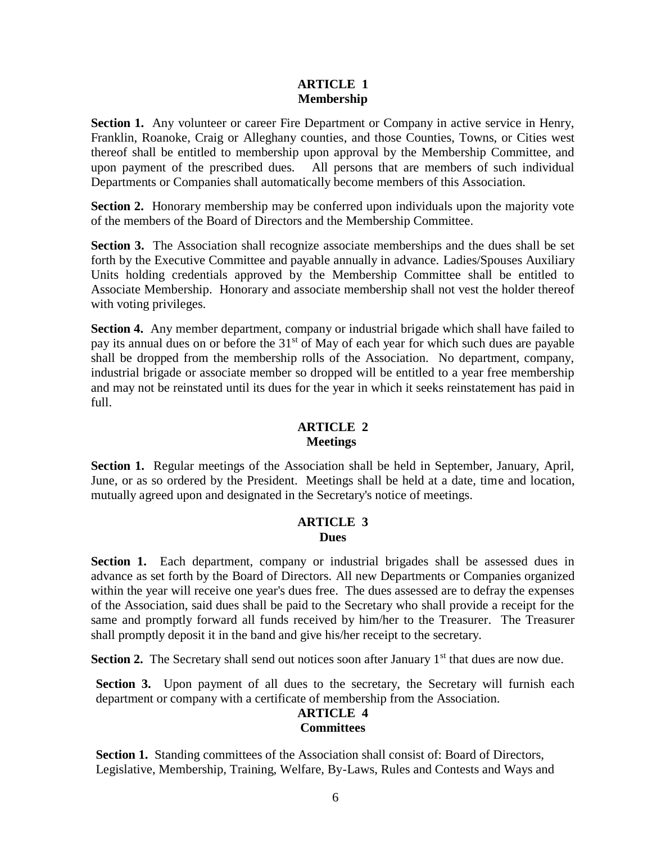#### **ARTICLE 1 Membership**

**Section 1.** Any volunteer or career Fire Department or Company in active service in Henry, Franklin, Roanoke, Craig or Alleghany counties, and those Counties, Towns, or Cities west thereof shall be entitled to membership upon approval by the Membership Committee, and upon payment of the prescribed dues. All persons that are members of such individual Departments or Companies shall automatically become members of this Association.

**Section 2.** Honorary membership may be conferred upon individuals upon the majority vote of the members of the Board of Directors and the Membership Committee.

**Section 3.** The Association shall recognize associate memberships and the dues shall be set forth by the Executive Committee and payable annually in advance. Ladies/Spouses Auxiliary Units holding credentials approved by the Membership Committee shall be entitled to Associate Membership. Honorary and associate membership shall not vest the holder thereof with voting privileges.

**Section 4.** Any member department, company or industrial brigade which shall have failed to pay its annual dues on or before the  $31<sup>st</sup>$  of May of each year for which such dues are payable shall be dropped from the membership rolls of the Association. No department, company, industrial brigade or associate member so dropped will be entitled to a year free membership and may not be reinstated until its dues for the year in which it seeks reinstatement has paid in full.

#### **ARTICLE 2 Meetings**

**Section 1.** Regular meetings of the Association shall be held in September, January, April, June, or as so ordered by the President. Meetings shall be held at a date, time and location, mutually agreed upon and designated in the Secretary's notice of meetings.

#### **ARTICLE 3 Dues**

Section 1. Each department, company or industrial brigades shall be assessed dues in advance as set forth by the Board of Directors. All new Departments or Companies organized within the year will receive one year's dues free. The dues assessed are to defray the expenses of the Association, said dues shall be paid to the Secretary who shall provide a receipt for the same and promptly forward all funds received by him/her to the Treasurer. The Treasurer shall promptly deposit it in the band and give his/her receipt to the secretary.

Section 2. The Secretary shall send out notices soon after January 1<sup>st</sup> that dues are now due.

Section 3. Upon payment of all dues to the secretary, the Secretary will furnish each department or company with a certificate of membership from the Association.

#### **ARTICLE 4 Committees**

Section 1. Standing committees of the Association shall consist of: Board of Directors, Legislative, Membership, Training, Welfare, By-Laws, Rules and Contests and Ways and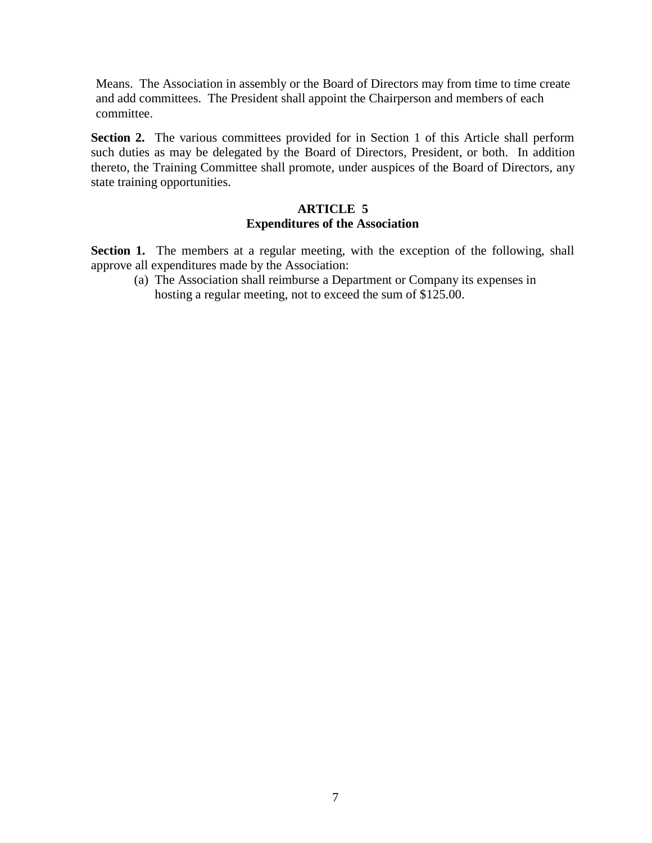Means. The Association in assembly or the Board of Directors may from time to time create and add committees. The President shall appoint the Chairperson and members of each committee.

**Section 2.** The various committees provided for in Section 1 of this Article shall perform such duties as may be delegated by the Board of Directors, President, or both. In addition thereto, the Training Committee shall promote, under auspices of the Board of Directors, any state training opportunities.

#### **ARTICLE 5 Expenditures of the Association**

Section 1. The members at a regular meeting, with the exception of the following, shall approve all expenditures made by the Association:

(a) The Association shall reimburse a Department or Company its expenses in hosting a regular meeting, not to exceed the sum of \$125.00.